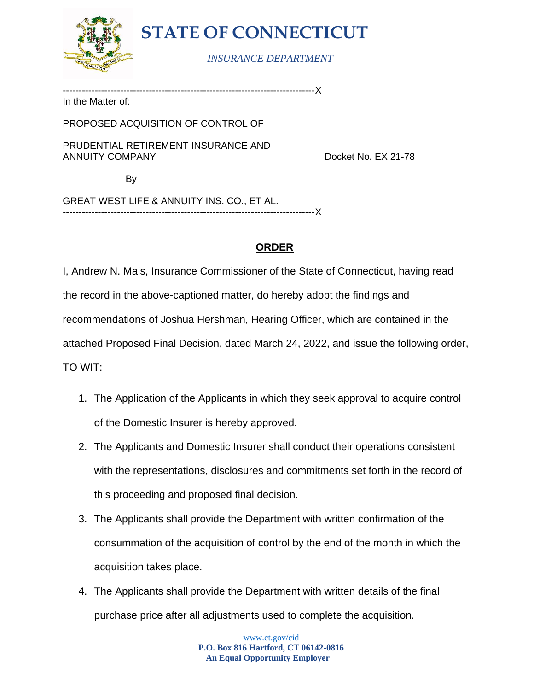

# **STATE OF CONNECTICUT**

### *INSURANCE DEPARTMENT*

-------------------------------------------------------------------------------X

In the Matter of:

PROPOSED ACQUISITION OF CONTROL OF

PRUDENTIAL RETIREMENT INSURANCE AND ANNUITY COMPANY Docket No. EX 21-78

By

GREAT WEST LIFE & ANNUITY INS. CO., ET AL. -------------------------------------------------------------------------------X

### **ORDER**

I, Andrew N. Mais, Insurance Commissioner of the State of Connecticut, having read the record in the above-captioned matter, do hereby adopt the findings and recommendations of Joshua Hershman, Hearing Officer, which are contained in the attached Proposed Final Decision, dated March 24, 2022, and issue the following order, TO WIT:

- 1. The Application of the Applicants in which they seek approval to acquire control of the Domestic Insurer is hereby approved.
- 2. The Applicants and Domestic Insurer shall conduct their operations consistent with the representations, disclosures and commitments set forth in the record of this proceeding and proposed final decision.
- 3. The Applicants shall provide the Department with written confirmation of the consummation of the acquisition of control by the end of the month in which the acquisition takes place.
- 4. The Applicants shall provide the Department with written details of the final purchase price after all adjustments used to complete the acquisition.

[www.ct.gov/cid](http://www.ct.gov/cid) **P.O. Box 816 Hartford, CT 06142-0816 An Equal Opportunity Employer**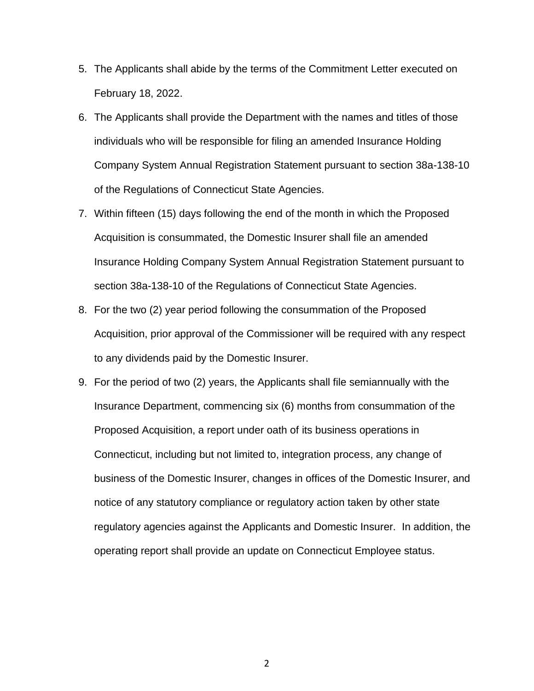- 5. The Applicants shall abide by the terms of the Commitment Letter executed on February 18, 2022.
- 6. The Applicants shall provide the Department with the names and titles of those individuals who will be responsible for filing an amended Insurance Holding Company System Annual Registration Statement pursuant to section 38a-138-10 of the Regulations of Connecticut State Agencies.
- 7. Within fifteen (15) days following the end of the month in which the Proposed Acquisition is consummated, the Domestic Insurer shall file an amended Insurance Holding Company System Annual Registration Statement pursuant to section 38a-138-10 of the Regulations of Connecticut State Agencies.
- 8. For the two (2) year period following the consummation of the Proposed Acquisition, prior approval of the Commissioner will be required with any respect to any dividends paid by the Domestic Insurer.
- 9. For the period of two (2) years, the Applicants shall file semiannually with the Insurance Department, commencing six (6) months from consummation of the Proposed Acquisition, a report under oath of its business operations in Connecticut, including but not limited to, integration process, any change of business of the Domestic Insurer, changes in offices of the Domestic Insurer, and notice of any statutory compliance or regulatory action taken by other state regulatory agencies against the Applicants and Domestic Insurer. In addition, the operating report shall provide an update on Connecticut Employee status.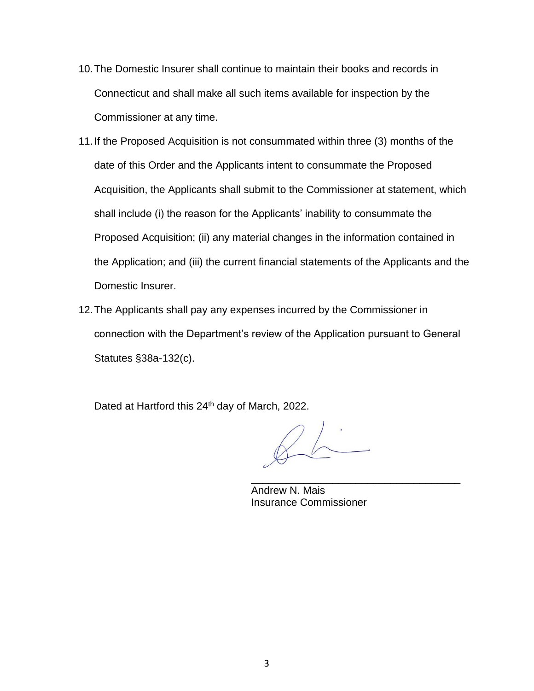- 10.The Domestic Insurer shall continue to maintain their books and records in Connecticut and shall make all such items available for inspection by the Commissioner at any time.
- 11.If the Proposed Acquisition is not consummated within three (3) months of the date of this Order and the Applicants intent to consummate the Proposed Acquisition, the Applicants shall submit to the Commissioner at statement, which shall include (i) the reason for the Applicants' inability to consummate the Proposed Acquisition; (ii) any material changes in the information contained in the Application; and (iii) the current financial statements of the Applicants and the Domestic Insurer.
- 12.The Applicants shall pay any expenses incurred by the Commissioner in connection with the Department's review of the Application pursuant to General Statutes §38a-132(c).

Dated at Hartford this 24<sup>th</sup> day of March, 2022.

\_\_\_\_\_\_\_\_\_\_\_\_\_\_\_\_\_\_\_\_\_\_\_\_\_\_\_\_\_\_\_\_\_\_\_\_

Andrew N. Mais Insurance Commissioner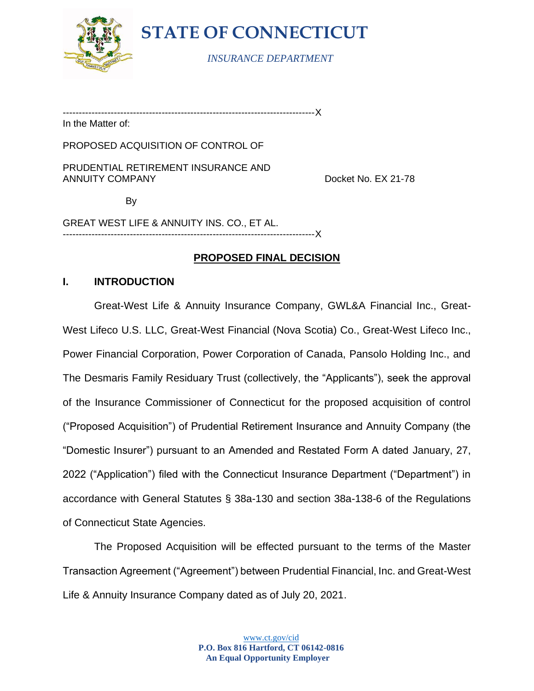

**STATE OF CONNECTICUT**

*INSURANCE DEPARTMENT*

-------------------------------------------------------------------------------X

In the Matter of:

PROPOSED ACQUISITION OF CONTROL OF

PRUDENTIAL RETIREMENT INSURANCE AND ANNUITY COMPANY **EXACUTE 1** 21-78

By

GREAT WEST LIFE & ANNUITY INS. CO., ET AL. -------------------------------------------------------------------------------X

### **PROPOSED FINAL DECISION**

#### **I. INTRODUCTION**

Great-West Life & Annuity Insurance Company, GWL&A Financial Inc., Great-West Lifeco U.S. LLC, Great-West Financial (Nova Scotia) Co., Great-West Lifeco Inc., Power Financial Corporation, Power Corporation of Canada, Pansolo Holding Inc., and The Desmaris Family Residuary Trust (collectively, the "Applicants"), seek the approval of the Insurance Commissioner of Connecticut for the proposed acquisition of control ("Proposed Acquisition") of Prudential Retirement Insurance and Annuity Company (the "Domestic Insurer") pursuant to an Amended and Restated Form A dated January, 27, 2022 ("Application") filed with the Connecticut Insurance Department ("Department") in accordance with General Statutes § 38a-130 and section 38a-138-6 of the Regulations of Connecticut State Agencies.

The Proposed Acquisition will be effected pursuant to the terms of the Master Transaction Agreement ("Agreement") between Prudential Financial, Inc. and Great-West Life & Annuity Insurance Company dated as of July 20, 2021.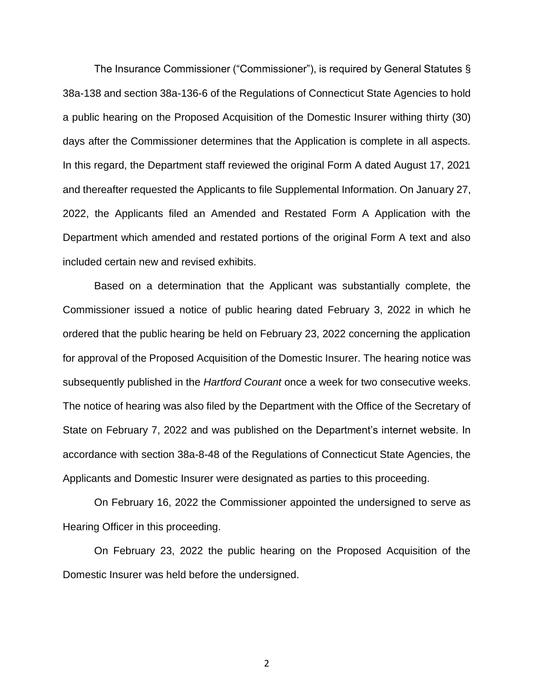The Insurance Commissioner ("Commissioner"), is required by General Statutes § 38a-138 and section 38a-136-6 of the Regulations of Connecticut State Agencies to hold a public hearing on the Proposed Acquisition of the Domestic Insurer withing thirty (30) days after the Commissioner determines that the Application is complete in all aspects. In this regard, the Department staff reviewed the original Form A dated August 17, 2021 and thereafter requested the Applicants to file Supplemental Information. On January 27, 2022, the Applicants filed an Amended and Restated Form A Application with the Department which amended and restated portions of the original Form A text and also included certain new and revised exhibits.

Based on a determination that the Applicant was substantially complete, the Commissioner issued a notice of public hearing dated February 3, 2022 in which he ordered that the public hearing be held on February 23, 2022 concerning the application for approval of the Proposed Acquisition of the Domestic Insurer. The hearing notice was subsequently published in the *Hartford Courant* once a week for two consecutive weeks. The notice of hearing was also filed by the Department with the Office of the Secretary of State on February 7, 2022 and was published on the Department's internet website. In accordance with section 38a-8-48 of the Regulations of Connecticut State Agencies, the Applicants and Domestic Insurer were designated as parties to this proceeding.

On February 16, 2022 the Commissioner appointed the undersigned to serve as Hearing Officer in this proceeding.

On February 23, 2022 the public hearing on the Proposed Acquisition of the Domestic Insurer was held before the undersigned.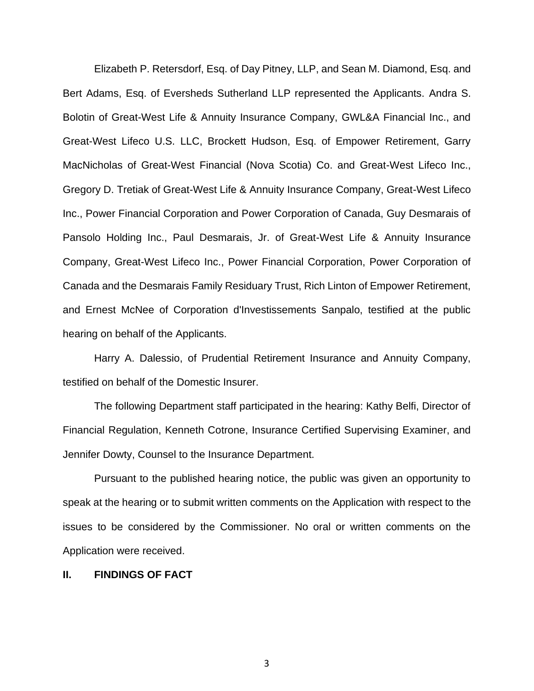Elizabeth P. Retersdorf, Esq. of Day Pitney, LLP, and Sean M. Diamond, Esq. and Bert Adams, Esq. of Eversheds Sutherland LLP represented the Applicants. Andra S. Bolotin of Great-West Life & Annuity Insurance Company, GWL&A Financial Inc., and Great-West Lifeco U.S. LLC, Brockett Hudson, Esq. of Empower Retirement, Garry MacNicholas of Great-West Financial (Nova Scotia) Co. and Great-West Lifeco Inc., Gregory D. Tretiak of Great-West Life & Annuity Insurance Company, Great-West Lifeco Inc., Power Financial Corporation and Power Corporation of Canada, Guy Desmarais of Pansolo Holding Inc., Paul Desmarais, Jr. of Great-West Life & Annuity Insurance Company, Great-West Lifeco Inc., Power Financial Corporation, Power Corporation of Canada and the Desmarais Family Residuary Trust, Rich Linton of Empower Retirement, and Ernest McNee of Corporation d'Investissements Sanpalo, testified at the public hearing on behalf of the Applicants.

Harry A. Dalessio, of Prudential Retirement Insurance and Annuity Company, testified on behalf of the Domestic Insurer.

The following Department staff participated in the hearing: Kathy Belfi, Director of Financial Regulation, Kenneth Cotrone, Insurance Certified Supervising Examiner, and Jennifer Dowty, Counsel to the Insurance Department.

Pursuant to the published hearing notice, the public was given an opportunity to speak at the hearing or to submit written comments on the Application with respect to the issues to be considered by the Commissioner. No oral or written comments on the Application were received.

#### **II. FINDINGS OF FACT**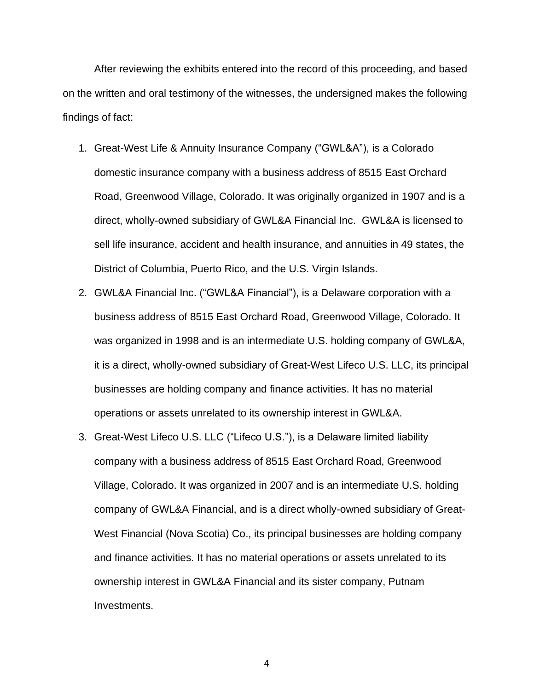After reviewing the exhibits entered into the record of this proceeding, and based on the written and oral testimony of the witnesses, the undersigned makes the following findings of fact:

- 1. Great-West Life & Annuity Insurance Company ("GWL&A"), is a Colorado domestic insurance company with a business address of 8515 East Orchard Road, Greenwood Village, Colorado. It was originally organized in 1907 and is a direct, wholly-owned subsidiary of GWL&A Financial Inc. GWL&A is licensed to sell life insurance, accident and health insurance, and annuities in 49 states, the District of Columbia, Puerto Rico, and the U.S. Virgin Islands.
- 2. GWL&A Financial Inc. ("GWL&A Financial"), is a Delaware corporation with a business address of 8515 East Orchard Road, Greenwood Village, Colorado. It was organized in 1998 and is an intermediate U.S. holding company of GWL&A, it is a direct, wholly-owned subsidiary of Great-West Lifeco U.S. LLC, its principal businesses are holding company and finance activities. It has no material operations or assets unrelated to its ownership interest in GWL&A.
- 3. Great-West Lifeco U.S. LLC ("Lifeco U.S."), is a Delaware limited liability company with a business address of 8515 East Orchard Road, Greenwood Village, Colorado. It was organized in 2007 and is an intermediate U.S. holding company of GWL&A Financial, and is a direct wholly-owned subsidiary of Great-West Financial (Nova Scotia) Co., its principal businesses are holding company and finance activities. It has no material operations or assets unrelated to its ownership interest in GWL&A Financial and its sister company, Putnam Investments.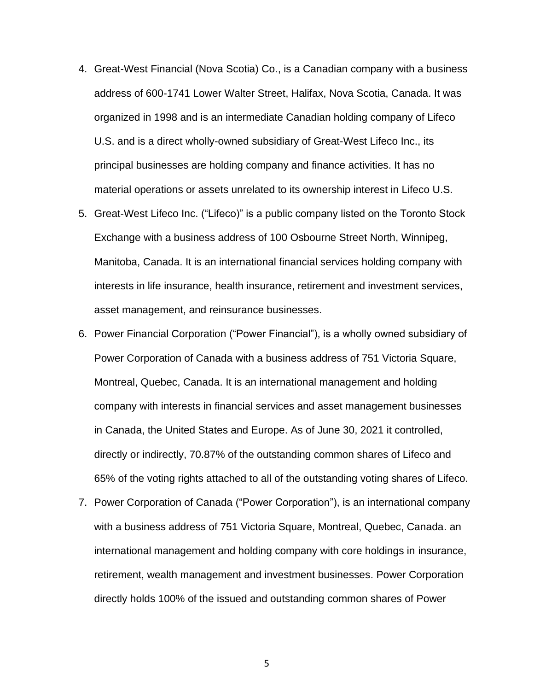- 4. Great-West Financial (Nova Scotia) Co., is a Canadian company with a business address of 600-1741 Lower Walter Street, Halifax, Nova Scotia, Canada. It was organized in 1998 and is an intermediate Canadian holding company of Lifeco U.S. and is a direct wholly-owned subsidiary of Great-West Lifeco Inc., its principal businesses are holding company and finance activities. It has no material operations or assets unrelated to its ownership interest in Lifeco U.S.
- 5. Great-West Lifeco Inc. ("Lifeco)" is a public company listed on the Toronto Stock Exchange with a business address of 100 Osbourne Street North, Winnipeg, Manitoba, Canada. It is an international financial services holding company with interests in life insurance, health insurance, retirement and investment services, asset management, and reinsurance businesses.
- 6. Power Financial Corporation ("Power Financial"), is a wholly owned subsidiary of Power Corporation of Canada with a business address of 751 Victoria Square, Montreal, Quebec, Canada. It is an international management and holding company with interests in financial services and asset management businesses in Canada, the United States and Europe. As of June 30, 2021 it controlled, directly or indirectly, 70.87% of the outstanding common shares of Lifeco and 65% of the voting rights attached to all of the outstanding voting shares of Lifeco.
- 7. Power Corporation of Canada ("Power Corporation"), is an international company with a business address of 751 Victoria Square, Montreal, Quebec, Canada. an international management and holding company with core holdings in insurance, retirement, wealth management and investment businesses. Power Corporation directly holds 100% of the issued and outstanding common shares of Power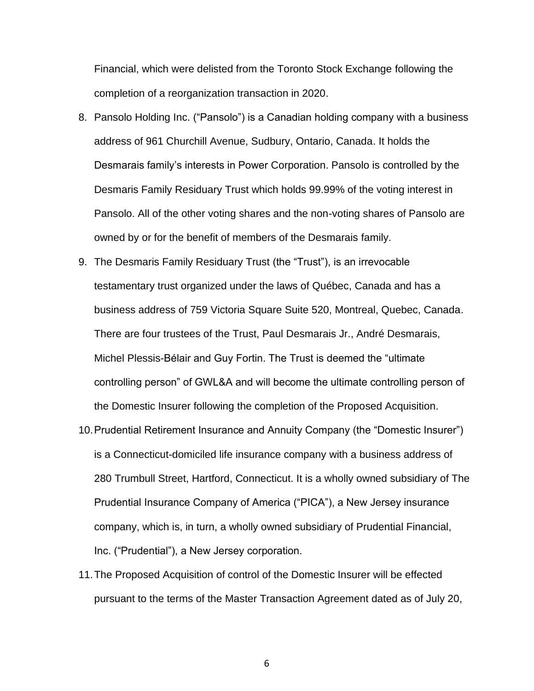Financial, which were delisted from the Toronto Stock Exchange following the completion of a reorganization transaction in 2020.

- 8. Pansolo Holding Inc. ("Pansolo") is a Canadian holding company with a business address of 961 Churchill Avenue, Sudbury, Ontario, Canada. It holds the Desmarais family's interests in Power Corporation. Pansolo is controlled by the Desmaris Family Residuary Trust which holds 99.99% of the voting interest in Pansolo. All of the other voting shares and the non-voting shares of Pansolo are owned by or for the benefit of members of the Desmarais family.
- 9. The Desmaris Family Residuary Trust (the "Trust"), is an irrevocable testamentary trust organized under the laws of Québec, Canada and has a business address of 759 Victoria Square Suite 520, Montreal, Quebec, Canada. There are four trustees of the Trust, Paul Desmarais Jr., André Desmarais, Michel Plessis-Bélair and Guy Fortin. The Trust is deemed the "ultimate controlling person" of GWL&A and will become the ultimate controlling person of the Domestic Insurer following the completion of the Proposed Acquisition.
- 10.Prudential Retirement Insurance and Annuity Company (the "Domestic Insurer") is a Connecticut-domiciled life insurance company with a business address of 280 Trumbull Street, Hartford, Connecticut. It is a wholly owned subsidiary of The Prudential Insurance Company of America ("PICA"), a New Jersey insurance company, which is, in turn, a wholly owned subsidiary of Prudential Financial, Inc. ("Prudential"), a New Jersey corporation.
- 11.The Proposed Acquisition of control of the Domestic Insurer will be effected pursuant to the terms of the Master Transaction Agreement dated as of July 20,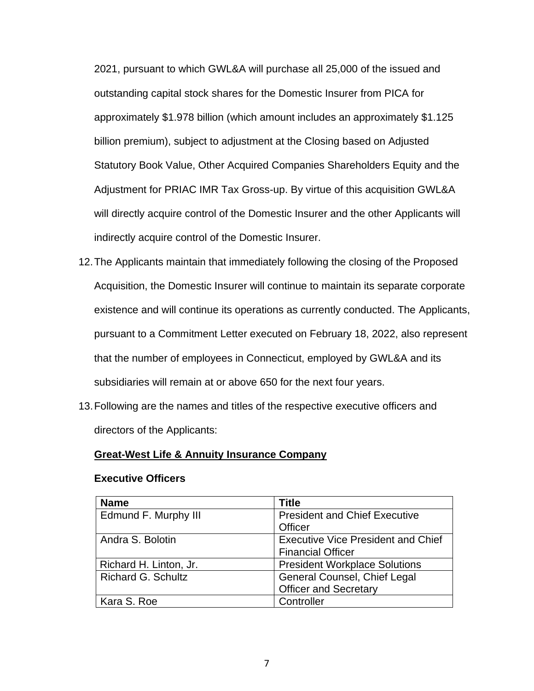2021, pursuant to which GWL&A will purchase all 25,000 of the issued and outstanding capital stock shares for the Domestic Insurer from PICA for approximately \$1.978 billion (which amount includes an approximately \$1.125 billion premium), subject to adjustment at the Closing based on Adjusted Statutory Book Value, Other Acquired Companies Shareholders Equity and the Adjustment for PRIAC IMR Tax Gross-up. By virtue of this acquisition GWL&A will directly acquire control of the Domestic Insurer and the other Applicants will indirectly acquire control of the Domestic Insurer.

- 12.The Applicants maintain that immediately following the closing of the Proposed Acquisition, the Domestic Insurer will continue to maintain its separate corporate existence and will continue its operations as currently conducted. The Applicants, pursuant to a Commitment Letter executed on February 18, 2022, also represent that the number of employees in Connecticut, employed by GWL&A and its subsidiaries will remain at or above 650 for the next four years.
- 13.Following are the names and titles of the respective executive officers and directors of the Applicants:

#### **Great-West Life & Annuity Insurance Company**

#### **Executive Officers**

| <b>Name</b>               | <b>Title</b>                              |
|---------------------------|-------------------------------------------|
| Edmund F. Murphy III      | <b>President and Chief Executive</b>      |
|                           | Officer                                   |
| Andra S. Bolotin          | <b>Executive Vice President and Chief</b> |
|                           | <b>Financial Officer</b>                  |
| Richard H. Linton, Jr.    | <b>President Workplace Solutions</b>      |
| <b>Richard G. Schultz</b> | <b>General Counsel, Chief Legal</b>       |
|                           | <b>Officer and Secretary</b>              |
| Kara S. Roe               | Controller                                |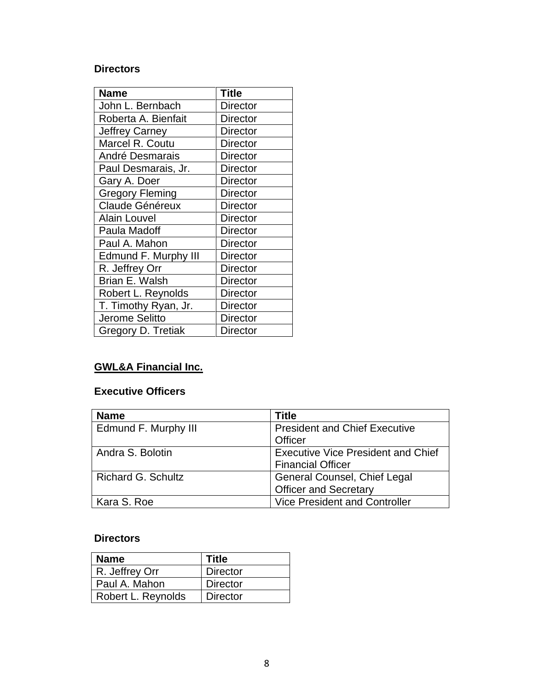### **Directors**

| <b>Name</b>            | <b>Title</b>    |
|------------------------|-----------------|
| John L. Bernbach       | <b>Director</b> |
| Roberta A. Bienfait    | <b>Director</b> |
| <b>Jeffrey Carney</b>  | <b>Director</b> |
| Marcel R. Coutu        | <b>Director</b> |
| André Desmarais        | <b>Director</b> |
| Paul Desmarais, Jr.    | <b>Director</b> |
| Gary A. Doer           | <b>Director</b> |
| <b>Gregory Fleming</b> | <b>Director</b> |
| <b>Claude Généreux</b> | <b>Director</b> |
| <b>Alain Louvel</b>    | <b>Director</b> |
| Paula Madoff           | <b>Director</b> |
| Paul A. Mahon          | Director        |
| Edmund F. Murphy III   | <b>Director</b> |
| R. Jeffrey Orr         | <b>Director</b> |
| Brian E. Walsh         | <b>Director</b> |
| Robert L. Reynolds     | <b>Director</b> |
| T. Timothy Ryan, Jr.   | <b>Director</b> |
| Jerome Selitto         | <b>Director</b> |
| Gregory D. Tretiak     | <b>Director</b> |

# **GWL&A Financial Inc.**

### **Executive Officers**

| <b>Name</b>               | Title                                     |
|---------------------------|-------------------------------------------|
| Edmund F. Murphy III      | <b>President and Chief Executive</b>      |
|                           | Officer                                   |
| Andra S. Bolotin          | <b>Executive Vice President and Chief</b> |
|                           | <b>Financial Officer</b>                  |
| <b>Richard G. Schultz</b> | <b>General Counsel, Chief Legal</b>       |
|                           | <b>Officer and Secretary</b>              |
| Kara S. Roe               | <b>Vice President and Controller</b>      |

### **Directors**

| <b>Name</b>        | <b>Title</b>    |
|--------------------|-----------------|
| R. Jeffrey Orr     | <b>Director</b> |
| Paul A. Mahon      | <b>Director</b> |
| Robert L. Reynolds | <b>Director</b> |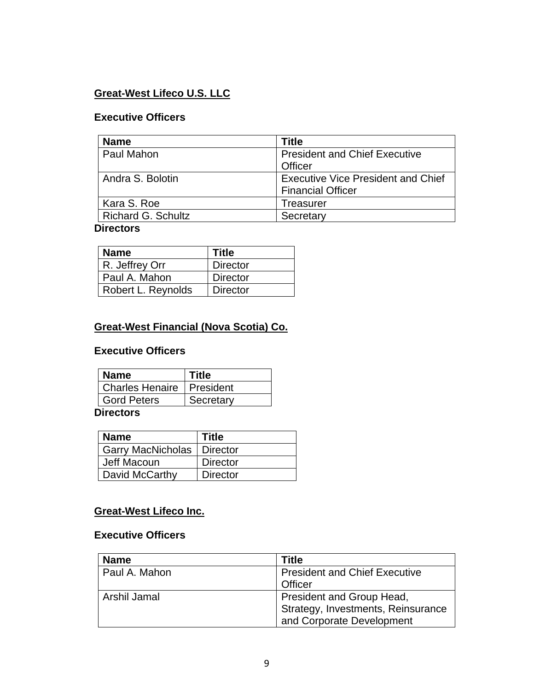### **Great-West Lifeco U.S. LLC**

### **Executive Officers**

| <b>Name</b>        | <b>Title</b>                              |
|--------------------|-------------------------------------------|
| Paul Mahon         | <b>President and Chief Executive</b>      |
|                    | Officer                                   |
| Andra S. Bolotin   | <b>Executive Vice President and Chief</b> |
|                    | <b>Financial Officer</b>                  |
| Kara S. Roe        | Treasurer                                 |
| Richard G. Schultz | Secretary                                 |

### **Directors**

| <b>Name</b>        | Title           |
|--------------------|-----------------|
| R. Jeffrey Orr     | <b>Director</b> |
| Paul A. Mahon      | <b>Director</b> |
| Robert L. Reynolds | <b>Director</b> |

### **Great-West Financial (Nova Scotia) Co.**

### **Executive Officers**

| <b>Name</b>                        | <b>Title</b> |
|------------------------------------|--------------|
| <b>Charles Henaire   President</b> |              |
| <b>Gord Peters</b>                 | Secretary    |

### **Directors**

| <b>Name</b>              | <b>Title</b>    |
|--------------------------|-----------------|
| <b>Garry MacNicholas</b> | <b>Director</b> |
| Jeff Macoun              | <b>Director</b> |
| David McCarthy           | <b>Director</b> |

## **Great-West Lifeco Inc.**

### **Executive Officers**

| <b>Name</b>   | Title                                |
|---------------|--------------------------------------|
| Paul A. Mahon | <b>President and Chief Executive</b> |
|               | Officer                              |
| Arshil Jamal  | President and Group Head,            |
|               | Strategy, Investments, Reinsurance   |
|               | and Corporate Development            |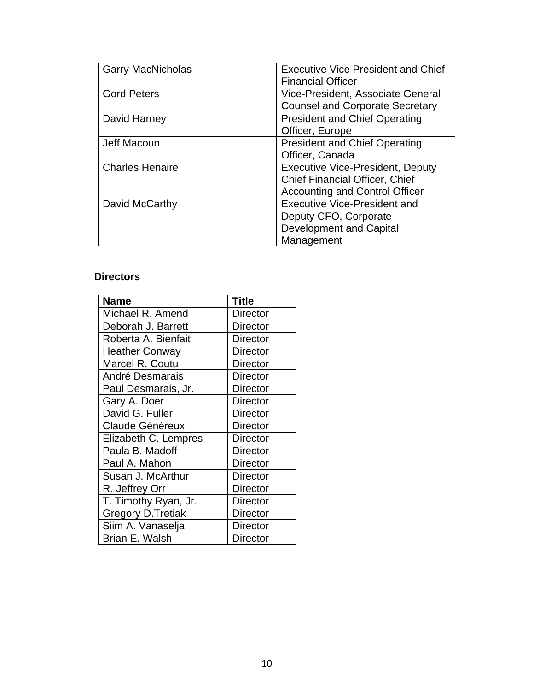| <b>Garry MacNicholas</b> | <b>Executive Vice President and Chief</b><br><b>Financial Officer</b> |
|--------------------------|-----------------------------------------------------------------------|
| <b>Gord Peters</b>       | Vice-President, Associate General                                     |
|                          | <b>Counsel and Corporate Secretary</b>                                |
| David Harney             | <b>President and Chief Operating</b>                                  |
|                          | Officer, Europe                                                       |
| Jeff Macoun              | <b>President and Chief Operating</b>                                  |
|                          | Officer, Canada                                                       |
| <b>Charles Henaire</b>   | <b>Executive Vice-President, Deputy</b>                               |
|                          | <b>Chief Financial Officer, Chief</b>                                 |
|                          | <b>Accounting and Control Officer</b>                                 |
| David McCarthy           | Executive Vice-President and                                          |
|                          | Deputy CFO, Corporate                                                 |
|                          | <b>Development and Capital</b>                                        |
|                          | Management                                                            |

### **Directors**

| <b>Name</b>              | <b>Title</b>    |
|--------------------------|-----------------|
| Michael R. Amend         | Director        |
| Deborah J. Barrett       | <b>Director</b> |
| Roberta A. Bienfait      | <b>Director</b> |
| <b>Heather Conway</b>    | <b>Director</b> |
| Marcel R. Coutu          | <b>Director</b> |
| André Desmarais          | Director        |
| Paul Desmarais, Jr.      | <b>Director</b> |
| Gary A. Doer             | <b>Director</b> |
| David G. Fuller          | <b>Director</b> |
| <b>Claude Généreux</b>   | <b>Director</b> |
| Elizabeth C. Lempres     | Director        |
| Paula B. Madoff          | Director        |
| Paul A. Mahon            | Director        |
| Susan J. McArthur        | <b>Director</b> |
| R. Jeffrey Orr           | <b>Director</b> |
| T. Timothy Ryan, Jr.     | <b>Director</b> |
| <b>Gregory D.Tretiak</b> | <b>Director</b> |
| Siim A. Vanaselja        | <b>Director</b> |
| Brian E. Walsh           | Director        |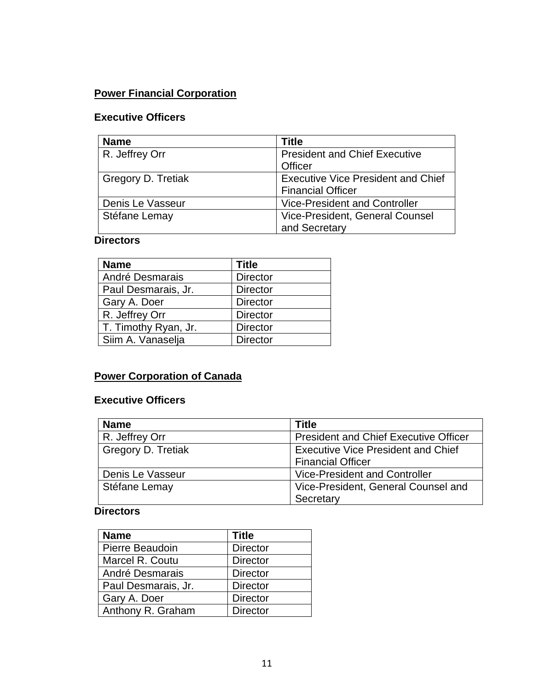# **Power Financial Corporation**

## **Executive Officers**

| <b>Name</b>        | <b>Title</b>                              |
|--------------------|-------------------------------------------|
| R. Jeffrey Orr     | <b>President and Chief Executive</b>      |
|                    | Officer                                   |
| Gregory D. Tretiak | <b>Executive Vice President and Chief</b> |
|                    | <b>Financial Officer</b>                  |
| Denis Le Vasseur   | <b>Vice-President and Controller</b>      |
| Stéfane Lemay      | Vice-President, General Counsel           |
|                    | and Secretary                             |

### **Directors**

| <b>Name</b>          | <b>Title</b>    |
|----------------------|-----------------|
| André Desmarais      | <b>Director</b> |
| Paul Desmarais, Jr.  | <b>Director</b> |
| Gary A. Doer         | <b>Director</b> |
| R. Jeffrey Orr       | <b>Director</b> |
| T. Timothy Ryan, Jr. | <b>Director</b> |
| Siim A. Vanaselja    | <b>Director</b> |

# **Power Corporation of Canada**

## **Executive Officers**

| <b>Name</b>        | <b>Title</b>                                 |
|--------------------|----------------------------------------------|
| R. Jeffrey Orr     | <b>President and Chief Executive Officer</b> |
| Gregory D. Tretiak | <b>Executive Vice President and Chief</b>    |
|                    | <b>Financial Officer</b>                     |
| Denis Le Vasseur   | <b>Vice-President and Controller</b>         |
| Stéfane Lemay      | Vice-President, General Counsel and          |
|                    | Secretary                                    |

### **Directors**

| <b>Name</b>         | <b>Title</b>    |
|---------------------|-----------------|
| Pierre Beaudoin     | <b>Director</b> |
| Marcel R. Coutu     | <b>Director</b> |
| André Desmarais     | <b>Director</b> |
| Paul Desmarais, Jr. | <b>Director</b> |
| Gary A. Doer        | <b>Director</b> |
| Anthony R. Graham   | <b>Director</b> |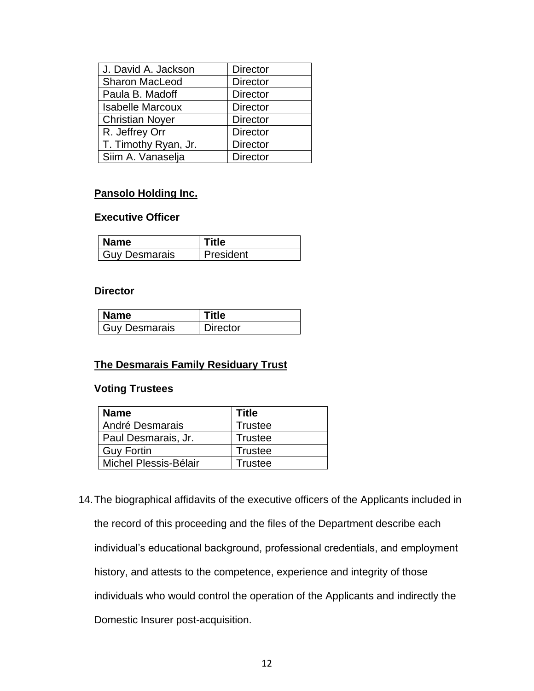| J. David A. Jackson     | <b>Director</b> |
|-------------------------|-----------------|
| <b>Sharon MacLeod</b>   | <b>Director</b> |
| Paula B. Madoff         | <b>Director</b> |
| <b>Isabelle Marcoux</b> | <b>Director</b> |
| <b>Christian Noyer</b>  | <b>Director</b> |
| R. Jeffrey Orr          | <b>Director</b> |
| T. Timothy Ryan, Jr.    | <b>Director</b> |
| Siim A. Vanaselja       | <b>Director</b> |

### **Pansolo Holding Inc.**

### **Executive Officer**

| <b>Name</b>   | Fitle     |
|---------------|-----------|
| Guy Desmarais | President |

#### **Director**

| <b>Name</b>          | tle      |
|----------------------|----------|
| <b>Guy Desmarais</b> | Director |

#### **The Desmarais Family Residuary Trust**

### **Voting Trustees**

| <b>Name</b>           | Title          |
|-----------------------|----------------|
| André Desmarais       | <b>Trustee</b> |
| Paul Desmarais, Jr.   | Trustee        |
| Guy Fortin            | Trustee        |
| Michel Plessis-Bélair | Trustee        |

14.The biographical affidavits of the executive officers of the Applicants included in the record of this proceeding and the files of the Department describe each individual's educational background, professional credentials, and employment history, and attests to the competence, experience and integrity of those individuals who would control the operation of the Applicants and indirectly the Domestic Insurer post-acquisition.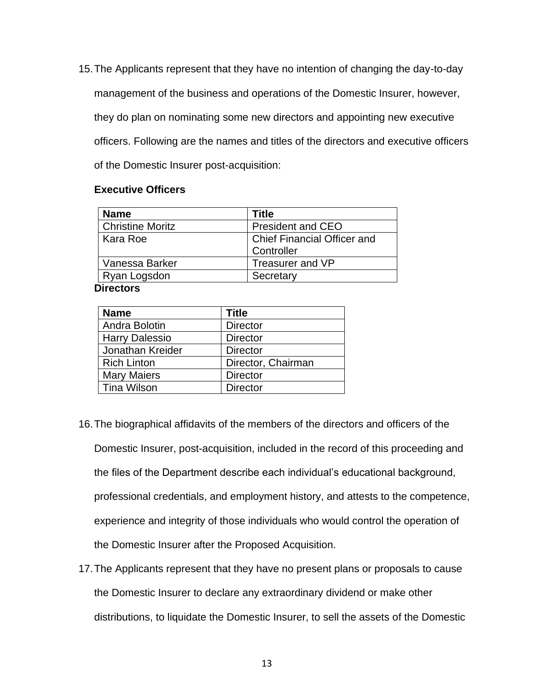15.The Applicants represent that they have no intention of changing the day-to-day management of the business and operations of the Domestic Insurer, however, they do plan on nominating some new directors and appointing new executive officers. Following are the names and titles of the directors and executive officers of the Domestic Insurer post-acquisition:

#### **Executive Officers**

| <b>Name</b>             | Title                              |
|-------------------------|------------------------------------|
| <b>Christine Moritz</b> | <b>President and CEO</b>           |
| Kara Roe                | <b>Chief Financial Officer and</b> |
|                         | Controller                         |
| Vanessa Barker          | Treasurer and VP                   |
| Ryan Logsdon            | Secretary                          |

**Directors**

| <b>Name</b>           | <b>Title</b>       |
|-----------------------|--------------------|
| Andra Bolotin         | <b>Director</b>    |
| <b>Harry Dalessio</b> | <b>Director</b>    |
| Jonathan Kreider      | <b>Director</b>    |
| <b>Rich Linton</b>    | Director, Chairman |
| <b>Mary Maiers</b>    | <b>Director</b>    |
| <b>Tina Wilson</b>    | <b>Director</b>    |

- 16.The biographical affidavits of the members of the directors and officers of the Domestic Insurer, post-acquisition, included in the record of this proceeding and the files of the Department describe each individual's educational background, professional credentials, and employment history, and attests to the competence, experience and integrity of those individuals who would control the operation of the Domestic Insurer after the Proposed Acquisition.
- 17.The Applicants represent that they have no present plans or proposals to cause the Domestic Insurer to declare any extraordinary dividend or make other distributions, to liquidate the Domestic Insurer, to sell the assets of the Domestic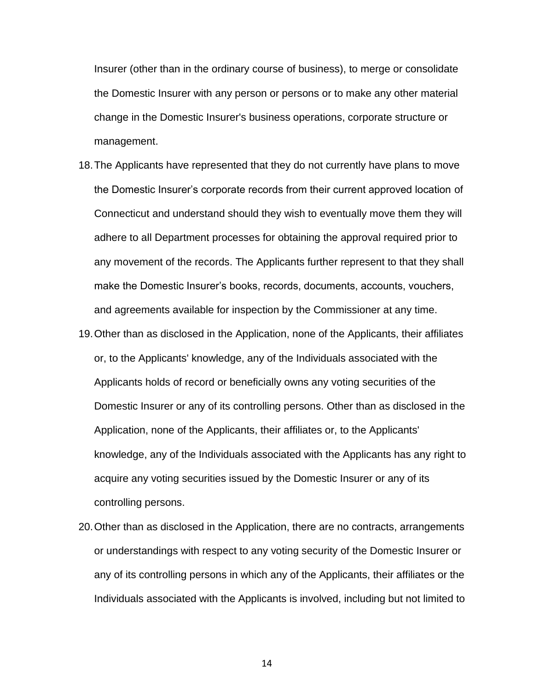Insurer (other than in the ordinary course of business), to merge or consolidate the Domestic Insurer with any person or persons or to make any other material change in the Domestic Insurer's business operations, corporate structure or management.

- 18.The Applicants have represented that they do not currently have plans to move the Domestic Insurer's corporate records from their current approved location of Connecticut and understand should they wish to eventually move them they will adhere to all Department processes for obtaining the approval required prior to any movement of the records. The Applicants further represent to that they shall make the Domestic Insurer's books, records, documents, accounts, vouchers, and agreements available for inspection by the Commissioner at any time.
- 19.Other than as disclosed in the Application, none of the Applicants, their affiliates or, to the Applicants' knowledge, any of the Individuals associated with the Applicants holds of record or beneficially owns any voting securities of the Domestic Insurer or any of its controlling persons. Other than as disclosed in the Application, none of the Applicants, their affiliates or, to the Applicants' knowledge, any of the Individuals associated with the Applicants has any right to acquire any voting securities issued by the Domestic Insurer or any of its controlling persons.
- 20.Other than as disclosed in the Application, there are no contracts, arrangements or understandings with respect to any voting security of the Domestic Insurer or any of its controlling persons in which any of the Applicants, their affiliates or the Individuals associated with the Applicants is involved, including but not limited to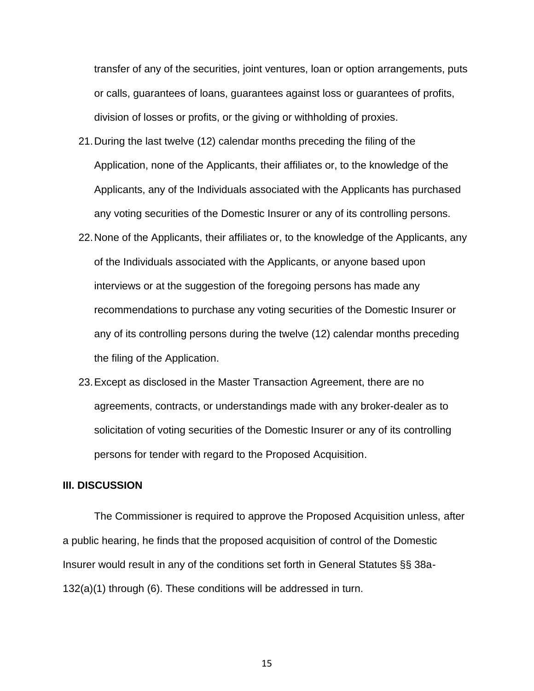transfer of any of the securities, joint ventures, loan or option arrangements, puts or calls, guarantees of loans, guarantees against loss or guarantees of profits, division of losses or profits, or the giving or withholding of proxies.

- 21.During the last twelve (12) calendar months preceding the filing of the Application, none of the Applicants, their affiliates or, to the knowledge of the Applicants, any of the Individuals associated with the Applicants has purchased any voting securities of the Domestic Insurer or any of its controlling persons.
- 22.None of the Applicants, their affiliates or, to the knowledge of the Applicants, any of the Individuals associated with the Applicants, or anyone based upon interviews or at the suggestion of the foregoing persons has made any recommendations to purchase any voting securities of the Domestic Insurer or any of its controlling persons during the twelve (12) calendar months preceding the filing of the Application.
- 23.Except as disclosed in the Master Transaction Agreement, there are no agreements, contracts, or understandings made with any broker-dealer as to solicitation of voting securities of the Domestic Insurer or any of its controlling persons for tender with regard to the Proposed Acquisition.

#### **III. DISCUSSION**

The Commissioner is required to approve the Proposed Acquisition unless, after a public hearing, he finds that the proposed acquisition of control of the Domestic Insurer would result in any of the conditions set forth in General Statutes §§ 38a-132(a)(1) through (6). These conditions will be addressed in turn.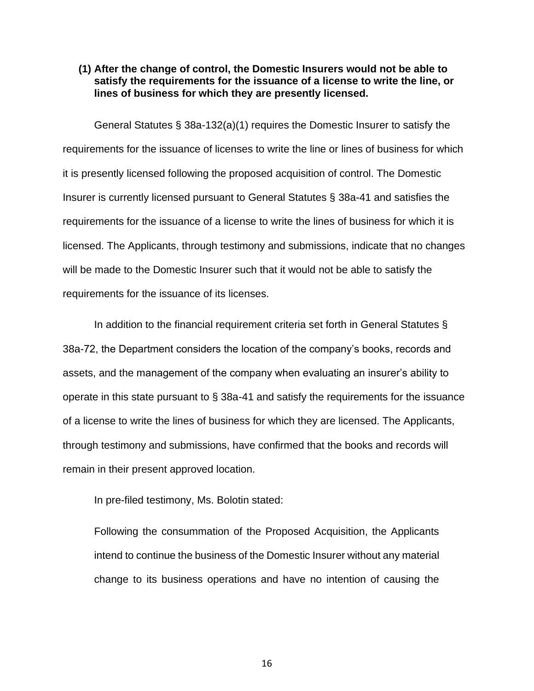#### **(1) After the change of control, the Domestic Insurers would not be able to satisfy the requirements for the issuance of a license to write the line, or lines of business for which they are presently licensed.**

General Statutes § 38a-132(a)(1) requires the Domestic Insurer to satisfy the requirements for the issuance of licenses to write the line or lines of business for which it is presently licensed following the proposed acquisition of control. The Domestic Insurer is currently licensed pursuant to General Statutes § 38a-41 and satisfies the requirements for the issuance of a license to write the lines of business for which it is licensed. The Applicants, through testimony and submissions, indicate that no changes will be made to the Domestic Insurer such that it would not be able to satisfy the requirements for the issuance of its licenses.

In addition to the financial requirement criteria set forth in General Statutes § 38a-72, the Department considers the location of the company's books, records and assets, and the management of the company when evaluating an insurer's ability to operate in this state pursuant to § 38a-41 and satisfy the requirements for the issuance of a license to write the lines of business for which they are licensed. The Applicants, through testimony and submissions, have confirmed that the books and records will remain in their present approved location.

In pre-filed testimony, Ms. Bolotin stated:

Following the consummation of the Proposed Acquisition, the Applicants intend to continue the business of the Domestic Insurer without any material change to its business operations and have no intention of causing the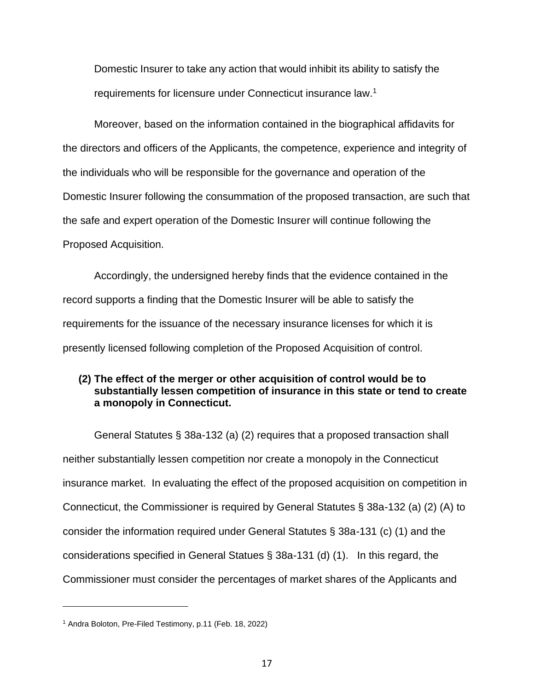Domestic Insurer to take any action that would inhibit its ability to satisfy the requirements for licensure under Connecticut insurance law.<sup>1</sup>

Moreover, based on the information contained in the biographical affidavits for the directors and officers of the Applicants, the competence, experience and integrity of the individuals who will be responsible for the governance and operation of the Domestic Insurer following the consummation of the proposed transaction, are such that the safe and expert operation of the Domestic Insurer will continue following the Proposed Acquisition.

Accordingly, the undersigned hereby finds that the evidence contained in the record supports a finding that the Domestic Insurer will be able to satisfy the requirements for the issuance of the necessary insurance licenses for which it is presently licensed following completion of the Proposed Acquisition of control.

### **(2) The effect of the merger or other acquisition of control would be to substantially lessen competition of insurance in this state or tend to create a monopoly in Connecticut.**

General Statutes § 38a-132 (a) (2) requires that a proposed transaction shall neither substantially lessen competition nor create a monopoly in the Connecticut insurance market. In evaluating the effect of the proposed acquisition on competition in Connecticut, the Commissioner is required by General Statutes § 38a-132 (a) (2) (A) to consider the information required under General Statutes § 38a-131 (c) (1) and the considerations specified in General Statues § 38a-131 (d) (1). In this regard, the Commissioner must consider the percentages of market shares of the Applicants and

<sup>1</sup> Andra Boloton, Pre-Filed Testimony, p.11 (Feb. 18, 2022)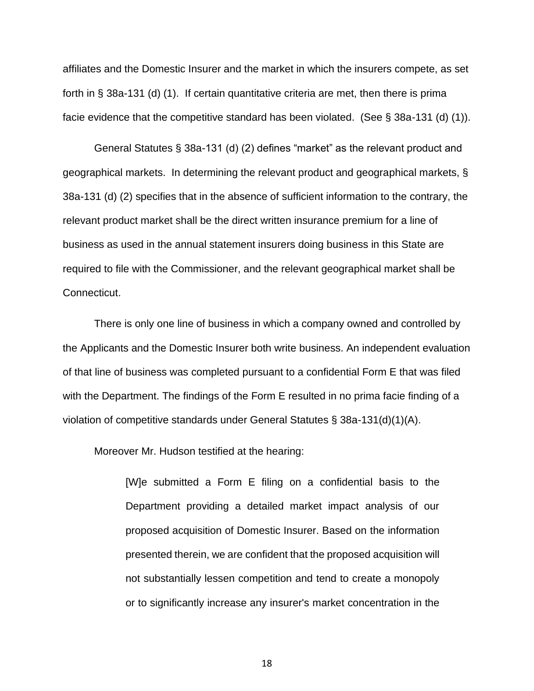affiliates and the Domestic Insurer and the market in which the insurers compete, as set forth in § 38a-131 (d) (1). If certain quantitative criteria are met, then there is prima facie evidence that the competitive standard has been violated. (See § 38a-131 (d) (1)).

General Statutes § 38a-131 (d) (2) defines "market" as the relevant product and geographical markets. In determining the relevant product and geographical markets, § 38a-131 (d) (2) specifies that in the absence of sufficient information to the contrary, the relevant product market shall be the direct written insurance premium for a line of business as used in the annual statement insurers doing business in this State are required to file with the Commissioner, and the relevant geographical market shall be Connecticut.

There is only one line of business in which a company owned and controlled by the Applicants and the Domestic Insurer both write business. An independent evaluation of that line of business was completed pursuant to a confidential Form E that was filed with the Department. The findings of the Form E resulted in no prima facie finding of a violation of competitive standards under General Statutes § 38a-131(d)(1)(A).

Moreover Mr. Hudson testified at the hearing:

[W]e submitted a Form E filing on a confidential basis to the Department providing a detailed market impact analysis of our proposed acquisition of Domestic Insurer. Based on the information presented therein, we are confident that the proposed acquisition will not substantially lessen competition and tend to create a monopoly or to significantly increase any insurer's market concentration in the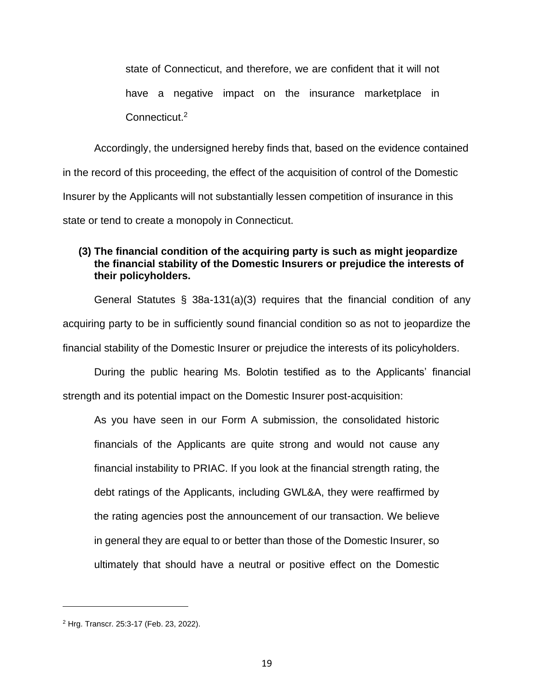state of Connecticut, and therefore, we are confident that it will not have a negative impact on the insurance marketplace in Connecticut.<sup>2</sup>

Accordingly, the undersigned hereby finds that, based on the evidence contained in the record of this proceeding, the effect of the acquisition of control of the Domestic Insurer by the Applicants will not substantially lessen competition of insurance in this state or tend to create a monopoly in Connecticut.

### **(3) The financial condition of the acquiring party is such as might jeopardize the financial stability of the Domestic Insurers or prejudice the interests of their policyholders.**

General Statutes § 38a-131(a)(3) requires that the financial condition of any acquiring party to be in sufficiently sound financial condition so as not to jeopardize the financial stability of the Domestic Insurer or prejudice the interests of its policyholders.

During the public hearing Ms. Bolotin testified as to the Applicants' financial strength and its potential impact on the Domestic Insurer post-acquisition:

As you have seen in our Form A submission, the consolidated historic financials of the Applicants are quite strong and would not cause any financial instability to PRIAC. If you look at the financial strength rating, the debt ratings of the Applicants, including GWL&A, they were reaffirmed by the rating agencies post the announcement of our transaction. We believe in general they are equal to or better than those of the Domestic Insurer, so ultimately that should have a neutral or positive effect on the Domestic

<sup>2</sup> Hrg. Transcr. 25:3-17 (Feb. 23, 2022).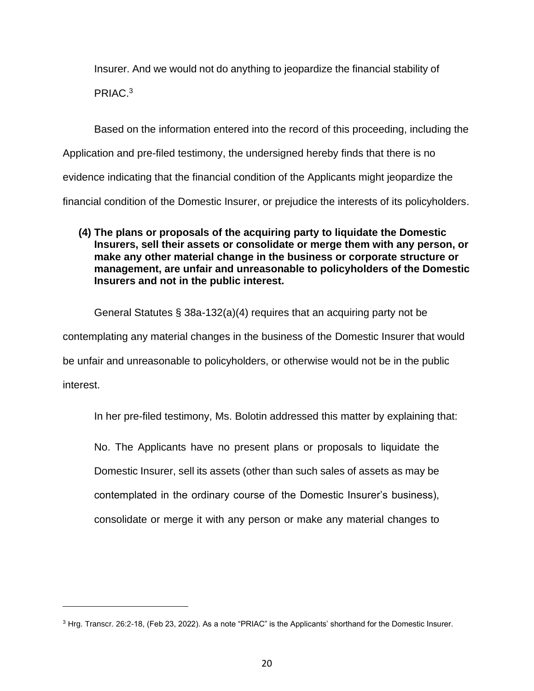Insurer. And we would not do anything to jeopardize the financial stability of PRIAC.<sup>3</sup>

Based on the information entered into the record of this proceeding, including the Application and pre-filed testimony, the undersigned hereby finds that there is no evidence indicating that the financial condition of the Applicants might jeopardize the financial condition of the Domestic Insurer, or prejudice the interests of its policyholders.

### **(4) The plans or proposals of the acquiring party to liquidate the Domestic Insurers, sell their assets or consolidate or merge them with any person, or make any other material change in the business or corporate structure or management, are unfair and unreasonable to policyholders of the Domestic Insurers and not in the public interest.**

General Statutes § 38a-132(a)(4) requires that an acquiring party not be contemplating any material changes in the business of the Domestic Insurer that would be unfair and unreasonable to policyholders, or otherwise would not be in the public interest.

In her pre-filed testimony, Ms. Bolotin addressed this matter by explaining that:

No. The Applicants have no present plans or proposals to liquidate the Domestic Insurer, sell its assets (other than such sales of assets as may be contemplated in the ordinary course of the Domestic Insurer's business), consolidate or merge it with any person or make any material changes to

<sup>3</sup> Hrg. Transcr. 26:2-18, (Feb 23, 2022). As a note "PRIAC" is the Applicants' shorthand for the Domestic Insurer.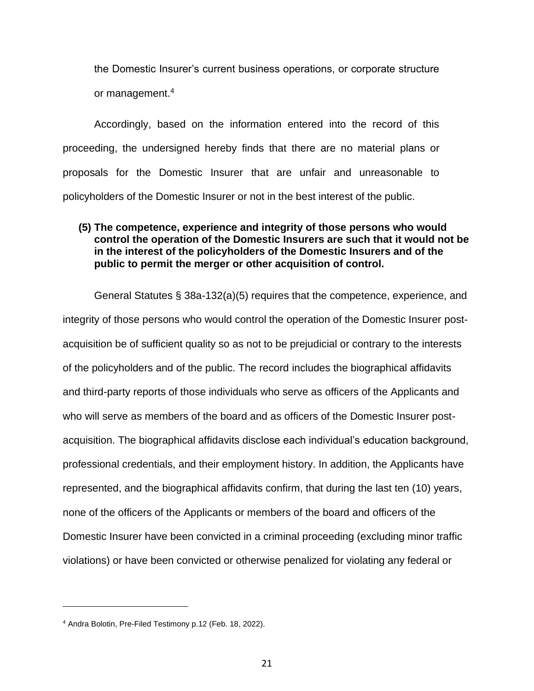the Domestic Insurer's current business operations, or corporate structure or management. 4

Accordingly, based on the information entered into the record of this proceeding, the undersigned hereby finds that there are no material plans or proposals for the Domestic Insurer that are unfair and unreasonable to policyholders of the Domestic Insurer or not in the best interest of the public.

### **(5) The competence, experience and integrity of those persons who would control the operation of the Domestic Insurers are such that it would not be in the interest of the policyholders of the Domestic Insurers and of the public to permit the merger or other acquisition of control.**

General Statutes § 38a-132(a)(5) requires that the competence, experience, and integrity of those persons who would control the operation of the Domestic Insurer postacquisition be of sufficient quality so as not to be prejudicial or contrary to the interests of the policyholders and of the public. The record includes the biographical affidavits and third-party reports of those individuals who serve as officers of the Applicants and who will serve as members of the board and as officers of the Domestic Insurer postacquisition. The biographical affidavits disclose each individual's education background, professional credentials, and their employment history. In addition, the Applicants have represented, and the biographical affidavits confirm, that during the last ten (10) years, none of the officers of the Applicants or members of the board and officers of the Domestic Insurer have been convicted in a criminal proceeding (excluding minor traffic violations) or have been convicted or otherwise penalized for violating any federal or

<sup>4</sup> Andra Bolotin, Pre-Filed Testimony p.12 (Feb. 18, 2022).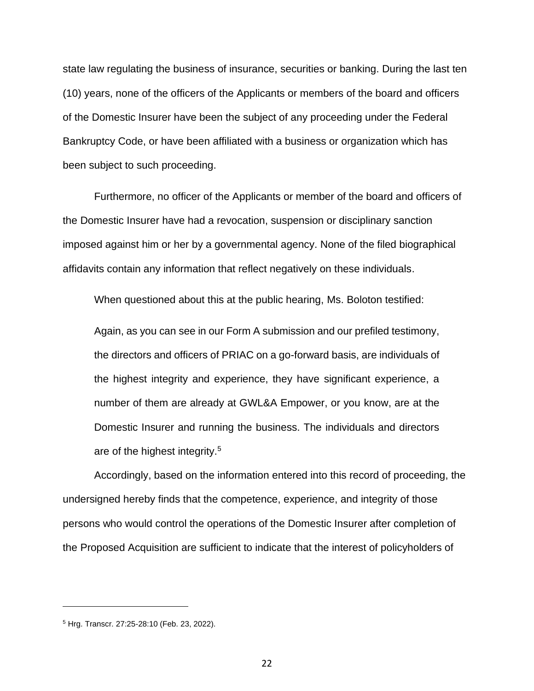state law regulating the business of insurance, securities or banking. During the last ten (10) years, none of the officers of the Applicants or members of the board and officers of the Domestic Insurer have been the subject of any proceeding under the Federal Bankruptcy Code, or have been affiliated with a business or organization which has been subject to such proceeding.

Furthermore, no officer of the Applicants or member of the board and officers of the Domestic Insurer have had a revocation, suspension or disciplinary sanction imposed against him or her by a governmental agency. None of the filed biographical affidavits contain any information that reflect negatively on these individuals.

When questioned about this at the public hearing, Ms. Boloton testified:

Again, as you can see in our Form A submission and our prefiled testimony, the directors and officers of PRIAC on a go-forward basis, are individuals of the highest integrity and experience, they have significant experience, a number of them are already at GWL&A Empower, or you know, are at the Domestic Insurer and running the business. The individuals and directors are of the highest integrity.<sup>5</sup>

Accordingly, based on the information entered into this record of proceeding, the undersigned hereby finds that the competence, experience, and integrity of those persons who would control the operations of the Domestic Insurer after completion of the Proposed Acquisition are sufficient to indicate that the interest of policyholders of

<sup>5</sup> Hrg. Transcr. 27:25-28:10 (Feb. 23, 2022).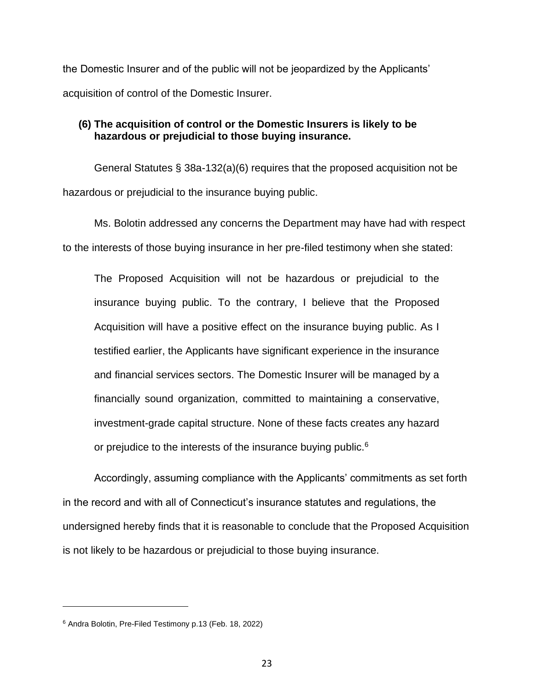the Domestic Insurer and of the public will not be jeopardized by the Applicants' acquisition of control of the Domestic Insurer.

### **(6) The acquisition of control or the Domestic Insurers is likely to be hazardous or prejudicial to those buying insurance.**

General Statutes § 38a-132(a)(6) requires that the proposed acquisition not be hazardous or prejudicial to the insurance buying public.

Ms. Bolotin addressed any concerns the Department may have had with respect to the interests of those buying insurance in her pre-filed testimony when she stated:

The Proposed Acquisition will not be hazardous or prejudicial to the insurance buying public. To the contrary, I believe that the Proposed Acquisition will have a positive effect on the insurance buying public. As I testified earlier, the Applicants have significant experience in the insurance and financial services sectors. The Domestic Insurer will be managed by a financially sound organization, committed to maintaining a conservative, investment-grade capital structure. None of these facts creates any hazard or prejudice to the interests of the insurance buying public.<sup>6</sup>

Accordingly, assuming compliance with the Applicants' commitments as set forth in the record and with all of Connecticut's insurance statutes and regulations, the undersigned hereby finds that it is reasonable to conclude that the Proposed Acquisition is not likely to be hazardous or prejudicial to those buying insurance.

<sup>6</sup> Andra Bolotin, Pre-Filed Testimony p.13 (Feb. 18, 2022)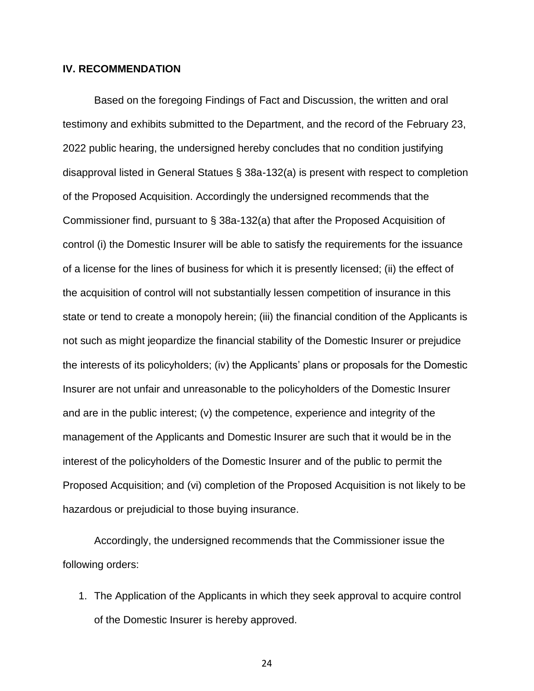#### **IV. RECOMMENDATION**

Based on the foregoing Findings of Fact and Discussion, the written and oral testimony and exhibits submitted to the Department, and the record of the February 23, 2022 public hearing, the undersigned hereby concludes that no condition justifying disapproval listed in General Statues § 38a-132(a) is present with respect to completion of the Proposed Acquisition. Accordingly the undersigned recommends that the Commissioner find, pursuant to § 38a-132(a) that after the Proposed Acquisition of control (i) the Domestic Insurer will be able to satisfy the requirements for the issuance of a license for the lines of business for which it is presently licensed; (ii) the effect of the acquisition of control will not substantially lessen competition of insurance in this state or tend to create a monopoly herein; (iii) the financial condition of the Applicants is not such as might jeopardize the financial stability of the Domestic Insurer or prejudice the interests of its policyholders; (iv) the Applicants' plans or proposals for the Domestic Insurer are not unfair and unreasonable to the policyholders of the Domestic Insurer and are in the public interest; (v) the competence, experience and integrity of the management of the Applicants and Domestic Insurer are such that it would be in the interest of the policyholders of the Domestic Insurer and of the public to permit the Proposed Acquisition; and (vi) completion of the Proposed Acquisition is not likely to be hazardous or prejudicial to those buying insurance.

Accordingly, the undersigned recommends that the Commissioner issue the following orders:

1. The Application of the Applicants in which they seek approval to acquire control of the Domestic Insurer is hereby approved.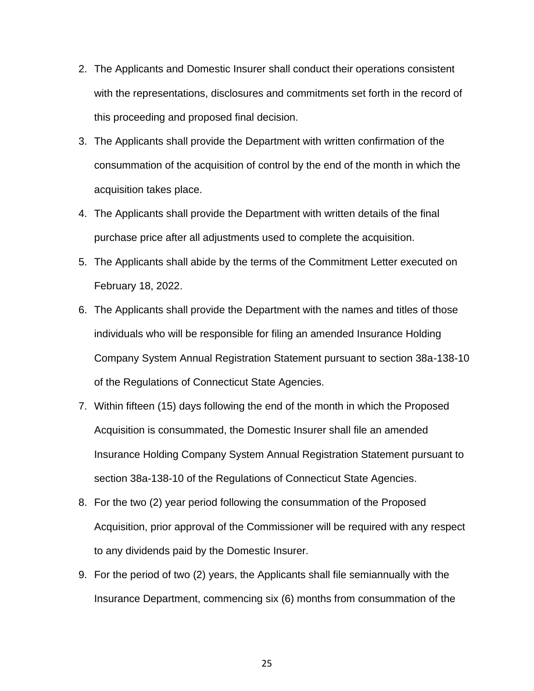- 2. The Applicants and Domestic Insurer shall conduct their operations consistent with the representations, disclosures and commitments set forth in the record of this proceeding and proposed final decision.
- 3. The Applicants shall provide the Department with written confirmation of the consummation of the acquisition of control by the end of the month in which the acquisition takes place.
- 4. The Applicants shall provide the Department with written details of the final purchase price after all adjustments used to complete the acquisition.
- 5. The Applicants shall abide by the terms of the Commitment Letter executed on February 18, 2022.
- 6. The Applicants shall provide the Department with the names and titles of those individuals who will be responsible for filing an amended Insurance Holding Company System Annual Registration Statement pursuant to section 38a-138-10 of the Regulations of Connecticut State Agencies.
- 7. Within fifteen (15) days following the end of the month in which the Proposed Acquisition is consummated, the Domestic Insurer shall file an amended Insurance Holding Company System Annual Registration Statement pursuant to section 38a-138-10 of the Regulations of Connecticut State Agencies.
- 8. For the two (2) year period following the consummation of the Proposed Acquisition, prior approval of the Commissioner will be required with any respect to any dividends paid by the Domestic Insurer.
- 9. For the period of two (2) years, the Applicants shall file semiannually with the Insurance Department, commencing six (6) months from consummation of the